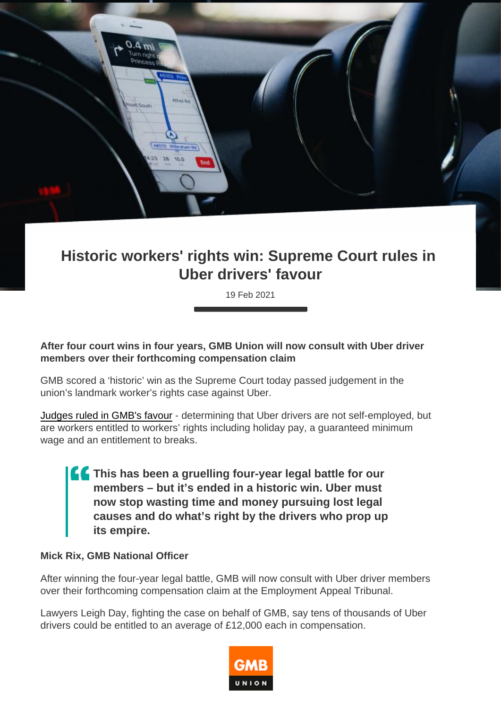## Historic workers' rights win: Supreme Court rules in Uber drivers' favour

19 Feb 2021

After four court wins in four years, GMB Union will now consult with Uber driver members over their forthcoming compensation claim

GMB scored a 'historic' win as the Supreme Court today passed judgement in the union's landmark worker's rights case against Uber.

[Judges ruled in GMB's favour](https://www.supremecourt.uk/cases/docs/uksc-2019-0029-judgment.pdf) - determining that Uber drivers are not self-employed, but are workers entitled to workers' rights including holiday pay, a guaranteed minimum wage and an entitlement to breaks.

> This has been a gruelling four-year legal battle for our members – but it's ended in a historic win. Uber must now stop wasting time and money pursuing lost legal causes and do what's right by the drivers who prop up its empire.

Mick Rix, GMB National Officer

After winning the four-year legal battle, GMB will now consult with Uber driver members over their forthcoming compensation claim at the Employment Appeal Tribunal.

Lawyers Leigh Day, fighting the case on behalf of GMB, say tens of thousands of Uber drivers could be entitled to an average of £12,000 each in compensation.